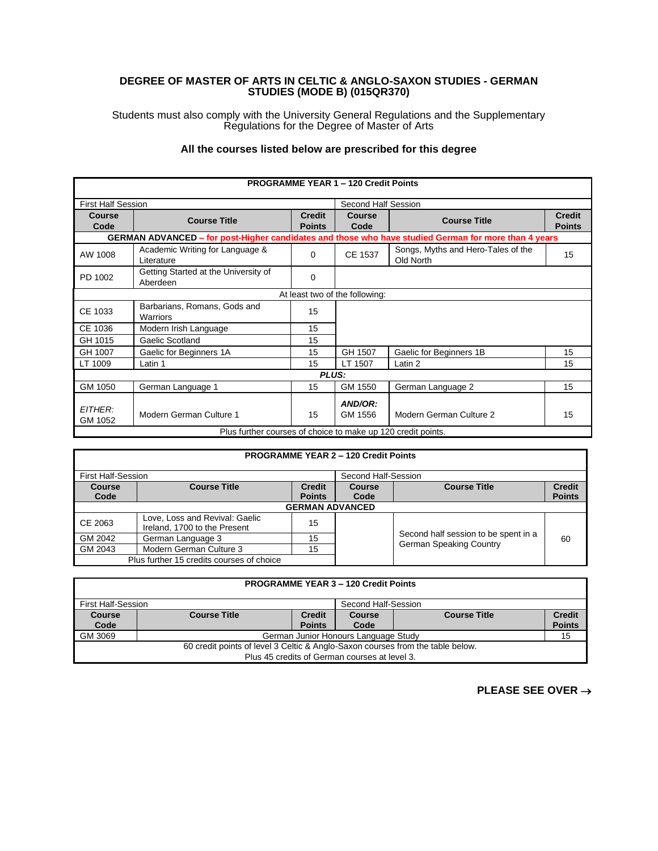## **DEGREE OF MASTER OF ARTS IN CELTIC & ANGLO-SAXON STUDIES - GERMAN STUDIES (MODE B) (015QR370)**

Students must also comply with the University General Regulations and the Supplementary Regulations for the Degree of Master of Arts

## **All the courses listed below are prescribed for this degree**

| <b>PROGRAMME YEAR 1 - 120 Credit Points</b>                  |                                                                                                      |                                |                                |                                                 |                                |  |
|--------------------------------------------------------------|------------------------------------------------------------------------------------------------------|--------------------------------|--------------------------------|-------------------------------------------------|--------------------------------|--|
| <b>First Half Session</b>                                    |                                                                                                      | Second Half Session            |                                |                                                 |                                |  |
| Course<br>Code                                               | <b>Course Title</b>                                                                                  | <b>Credit</b><br><b>Points</b> | Course<br>Code                 | <b>Course Title</b>                             | <b>Credit</b><br><b>Points</b> |  |
|                                                              | GERMAN ADVANCED – for post-Higher candidates and those who have studied German for more than 4 years |                                |                                |                                                 |                                |  |
| AW 1008                                                      | Academic Writing for Language &<br>Literature                                                        | $\Omega$                       | CE 1537                        | Songs, Myths and Hero-Tales of the<br>Old North | 15                             |  |
| PD 1002                                                      | Getting Started at the University of<br>Aberdeen                                                     | 0                              |                                |                                                 |                                |  |
|                                                              |                                                                                                      |                                | At least two of the following: |                                                 |                                |  |
| CE 1033                                                      | Barbarians, Romans, Gods and<br>Warriors                                                             | 15                             |                                |                                                 |                                |  |
| CE 1036                                                      | Modern Irish Language                                                                                | 15                             |                                |                                                 |                                |  |
| GH 1015                                                      | Gaelic Scotland                                                                                      | 15                             |                                |                                                 |                                |  |
| GH 1007                                                      | Gaelic for Beginners 1A                                                                              | 15                             | GH 1507                        | Gaelic for Beginners 1B                         | 15                             |  |
| LT 1009                                                      | Latin 1                                                                                              | 15                             | LT 1507                        | Latin 2                                         | 15                             |  |
| <b>PLUS:</b>                                                 |                                                                                                      |                                |                                |                                                 |                                |  |
| GM 1050                                                      | German Language 1                                                                                    | 15                             | GM 1550                        | German Language 2                               | 15                             |  |
| <b>EITHER:</b><br>GM 1052                                    | Modern German Culture 1                                                                              | 15                             | AND/OR:<br>GM 1556             | Modern German Culture 2                         | 15                             |  |
| Plus further courses of choice to make up 120 credit points. |                                                                                                      |                                |                                |                                                 |                                |  |

|  |  | <b>PROGRAMME YEAR 2 - 120 Credit Points</b> |  |
|--|--|---------------------------------------------|--|
|  |  |                                             |  |

| <b>First Half-Session</b>                 |                                                                |                                | Second Half-Session |                                                                        |                                |
|-------------------------------------------|----------------------------------------------------------------|--------------------------------|---------------------|------------------------------------------------------------------------|--------------------------------|
| <b>Course</b><br>Code                     | <b>Course Title</b>                                            | <b>Credit</b><br><b>Points</b> | Course<br>Code      | <b>Course Title</b>                                                    | <b>Credit</b><br><b>Points</b> |
|                                           | <b>GERMAN ADVANCED</b>                                         |                                |                     |                                                                        |                                |
| CE 2063                                   | Love, Loss and Revival: Gaelic<br>Ireland, 1700 to the Present | 15                             |                     |                                                                        |                                |
| GM 2042                                   | German Language 3                                              | 15                             |                     | Second half session to be spent in a<br><b>German Speaking Country</b> | 60                             |
| GM 2043                                   | Modern German Culture 3                                        | 15                             |                     |                                                                        |                                |
| Plus further 15 credits courses of choice |                                                                |                                |                     |                                                                        |                                |

| <b>PROGRAMME YEAR 3 - 120 Credit Points</b>                                    |                                                  |                                                                 |      |    |               |  |
|--------------------------------------------------------------------------------|--------------------------------------------------|-----------------------------------------------------------------|------|----|---------------|--|
|                                                                                | <b>First Half-Session</b><br>Second Half-Session |                                                                 |      |    |               |  |
| <b>Course</b>                                                                  | <b>Course Title</b>                              | <b>Credit</b><br><b>Course Title</b><br><b>Credit</b><br>Course |      |    |               |  |
| Code                                                                           |                                                  | <b>Points</b>                                                   | Code |    | <b>Points</b> |  |
| GM 3069<br>German Junior Honours Language Study                                |                                                  |                                                                 |      | 15 |               |  |
| 60 credit points of level 3 Celtic & Anglo-Saxon courses from the table below. |                                                  |                                                                 |      |    |               |  |
| Plus 45 credits of German courses at level 3.                                  |                                                  |                                                                 |      |    |               |  |

**PLEASE SEE OVER** →